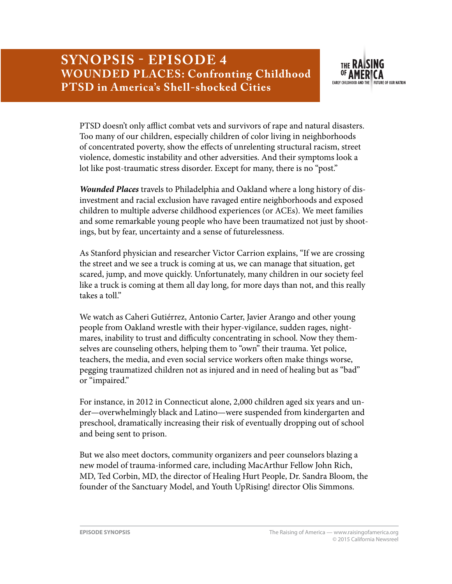

PTSD doesn't only afflict combat vets and survivors of rape and natural disasters. Too many of our children, especially children of color living in neighborhoods of concentrated poverty, show the effects of unrelenting structural racism, street violence, domestic instability and other adversities. And their symptoms look a lot like post-traumatic stress disorder. Except for many, there is no "post."

*Wounded Places* travels to Philadelphia and Oakland where a long history of disinvestment and racial exclusion have ravaged entire neighborhoods and exposed children to multiple adverse childhood experiences (or ACEs). We meet families and some remarkable young people who have been traumatized not just by shootings, but by fear, uncertainty and a sense of futurelessness.

As Stanford physician and researcher Victor Carrion explains, "If we are crossing the street and we see a truck is coming at us, we can manage that situation, get scared, jump, and move quickly. Unfortunately, many children in our society feel like a truck is coming at them all day long, for more days than not, and this really takes a toll."

We watch as Caheri Gutiérrez, Antonio Carter, Javier Arango and other young people from Oakland wrestle with their hyper-vigilance, sudden rages, nightmares, inability to trust and difficulty concentrating in school. Now they themselves are counseling others, helping them to "own" their trauma. Yet police, teachers, the media, and even social service workers often make things worse, pegging traumatized children not as injured and in need of healing but as "bad" or "impaired."

For instance, in 2012 in Connecticut alone, 2,000 children aged six years and under—overwhelmingly black and Latino—were suspended from kindergarten and preschool, dramatically increasing their risk of eventually dropping out of school and being sent to prison.

But we also meet doctors, community organizers and peer counselors blazing a new model of trauma-informed care, including MacArthur Fellow John Rich, MD, Ted Corbin, MD, the director of Healing Hurt People, Dr. Sandra Bloom, the founder of the Sanctuary Model, and Youth UpRising! director Olis Simmons.